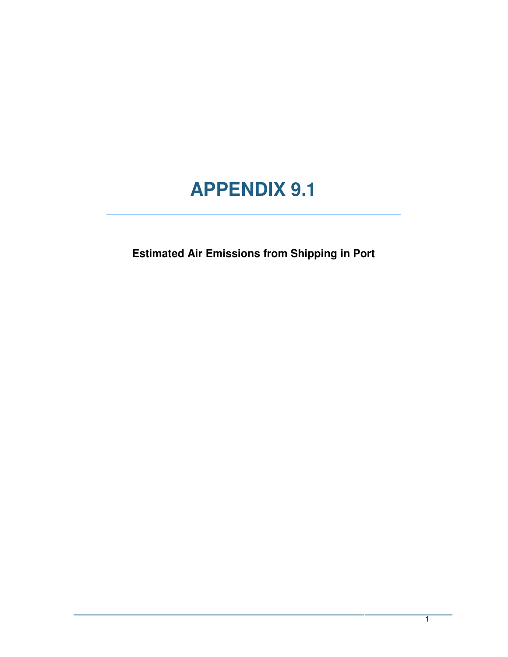## **APPENDIX 9.1**

**Estimated Air Emissions from Shipping in Port**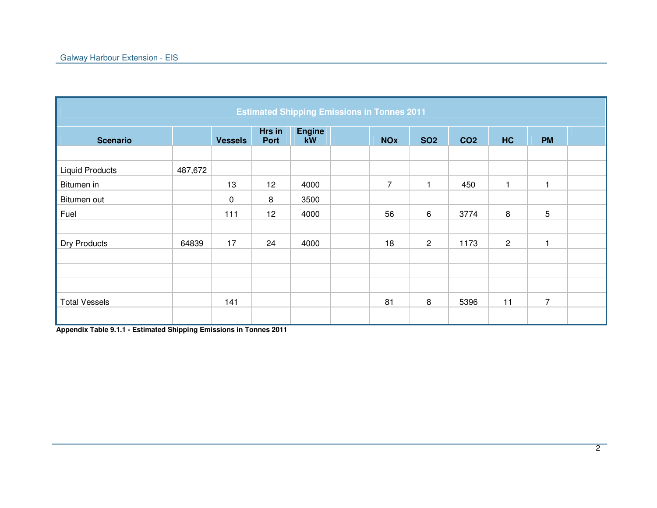|                        | <b>Estimated Shipping Emissions in Tonnes 2011</b> |                |                |                     |  |                |                |                 |                |                |  |  |  |
|------------------------|----------------------------------------------------|----------------|----------------|---------------------|--|----------------|----------------|-----------------|----------------|----------------|--|--|--|
| <b>Scenario</b>        |                                                    | <b>Vessels</b> | Hrs in<br>Port | <b>Engine</b><br>kW |  | <b>NOx</b>     | <b>SO2</b>     | CO <sub>2</sub> | <b>HC</b>      | <b>PM</b>      |  |  |  |
|                        |                                                    |                |                |                     |  |                |                |                 |                |                |  |  |  |
| <b>Liquid Products</b> | 487,672                                            |                |                |                     |  |                |                |                 |                |                |  |  |  |
| Bitumen in             |                                                    | 13             | 12             | 4000                |  | $\overline{7}$ | $\mathbf{1}$   | 450             | 1              | $\overline{1}$ |  |  |  |
| Bitumen out            |                                                    | $\mathbf 0$    | 8              | 3500                |  |                |                |                 |                |                |  |  |  |
| Fuel                   |                                                    | 111            | 12             | 4000                |  | 56             | 6              | 3774            | 8              | 5              |  |  |  |
|                        |                                                    |                |                |                     |  |                |                |                 |                |                |  |  |  |
| <b>Dry Products</b>    | 64839                                              | 17             | 24             | 4000                |  | 18             | $\overline{2}$ | 1173            | $\overline{c}$ | 1              |  |  |  |
|                        |                                                    |                |                |                     |  |                |                |                 |                |                |  |  |  |
|                        |                                                    |                |                |                     |  |                |                |                 |                |                |  |  |  |
|                        |                                                    |                |                |                     |  |                |                |                 |                |                |  |  |  |
| <b>Total Vessels</b>   |                                                    | 141            |                |                     |  | 81             | 8              | 5396            | 11             | $\overline{7}$ |  |  |  |
|                        |                                                    |                |                |                     |  |                |                |                 |                |                |  |  |  |

**Appendix Table 9.1.1 - Estimated Shipping Emissions in Tonnes 2011**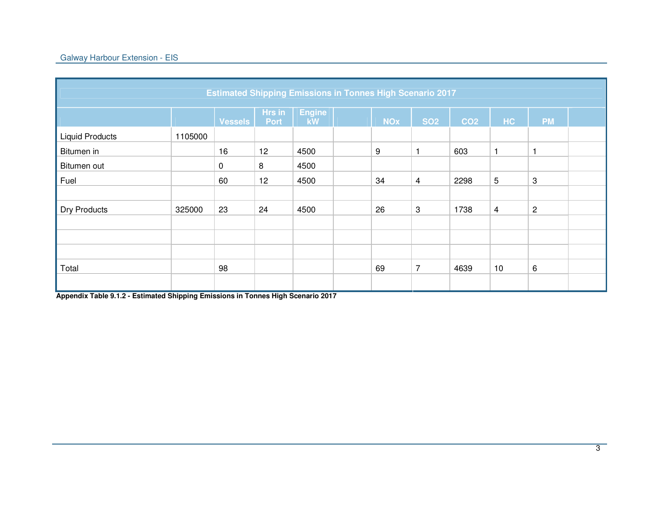| <b>Estimated Shipping Emissions in Tonnes High Scenario 2017</b> |         |                |                       |                     |  |            |                |                 |    |                |  |  |
|------------------------------------------------------------------|---------|----------------|-----------------------|---------------------|--|------------|----------------|-----------------|----|----------------|--|--|
|                                                                  |         | <b>Vessels</b> | Hrs in<br><b>Port</b> | <b>Engine</b><br>kW |  | <b>NOx</b> | <b>SO2</b>     | CO <sub>2</sub> | HC | <b>PM</b>      |  |  |
| <b>Liquid Products</b>                                           | 1105000 |                |                       |                     |  |            |                |                 |    |                |  |  |
| Bitumen in                                                       |         | 16             | 12                    | 4500                |  | 9          | 1              | 603             | 1  |                |  |  |
| Bitumen out                                                      |         | $\mathbf 0$    | 8                     | 4500                |  |            |                |                 |    |                |  |  |
| Fuel                                                             |         | 60             | 12                    | 4500                |  | 34         | $\overline{4}$ | 2298            | 5  | 3              |  |  |
|                                                                  |         |                |                       |                     |  |            |                |                 |    |                |  |  |
| Dry Products                                                     | 325000  | 23             | 24                    | 4500                |  | 26         | 3              | 1738            | 4  | $\overline{c}$ |  |  |
|                                                                  |         |                |                       |                     |  |            |                |                 |    |                |  |  |
|                                                                  |         |                |                       |                     |  |            |                |                 |    |                |  |  |
|                                                                  |         |                |                       |                     |  |            |                |                 |    |                |  |  |
| Total                                                            |         | 98             |                       |                     |  | 69         | $\overline{7}$ | 4639            | 10 | 6              |  |  |
|                                                                  |         |                |                       |                     |  |            |                |                 |    |                |  |  |

**Appendix Table 9.1.2 - Estimated Shipping Emissions in Tonnes High Scenario 2017**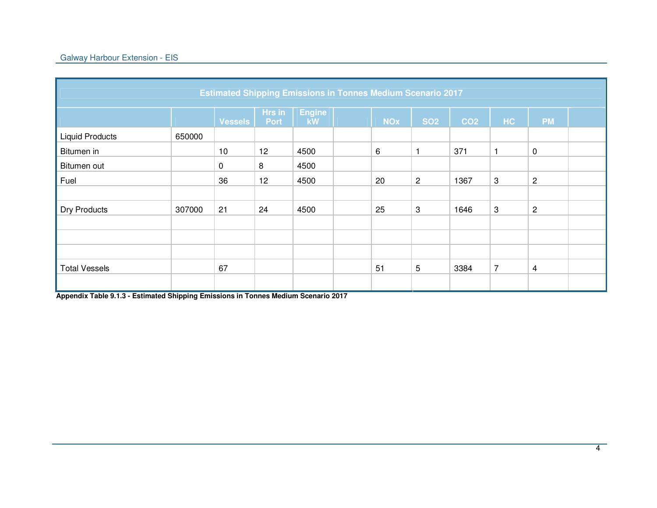| <b>Estimated Shipping Emissions in Tonnes Medium Scenario 2017</b> |        |                |                       |                     |  |            |            |                 |                |                |  |  |
|--------------------------------------------------------------------|--------|----------------|-----------------------|---------------------|--|------------|------------|-----------------|----------------|----------------|--|--|
|                                                                    |        | <b>Vessels</b> | Hrs in<br><b>Port</b> | <b>Engine</b><br>kW |  | <b>NOx</b> | <b>SO2</b> | CO <sub>2</sub> | HC             | <b>PM</b>      |  |  |
| <b>Liquid Products</b>                                             | 650000 |                |                       |                     |  |            |            |                 |                |                |  |  |
| Bitumen in                                                         |        | 10             | 12                    | 4500                |  | 6          |            | 371             | 1              | $\mathbf 0$    |  |  |
| Bitumen out                                                        |        | 0              | 8                     | 4500                |  |            |            |                 |                |                |  |  |
| Fuel                                                               |        | 36             | 12                    | 4500                |  | 20         | $\sqrt{2}$ | 1367            | 3              | $\sqrt{2}$     |  |  |
|                                                                    |        |                |                       |                     |  |            |            |                 |                |                |  |  |
| <b>Dry Products</b>                                                | 307000 | 21             | 24                    | 4500                |  | 25         | 3          | 1646            | 3              | $\overline{c}$ |  |  |
|                                                                    |        |                |                       |                     |  |            |            |                 |                |                |  |  |
|                                                                    |        |                |                       |                     |  |            |            |                 |                |                |  |  |
|                                                                    |        |                |                       |                     |  |            |            |                 |                |                |  |  |
| <b>Total Vessels</b>                                               |        | 67             |                       |                     |  | 51         | 5          | 3384            | $\overline{7}$ | 4              |  |  |
|                                                                    |        |                |                       |                     |  |            |            |                 |                |                |  |  |

**Appendix Table 9.1.3 - Estimated Shipping Emissions in Tonnes Medium Scenario 2017**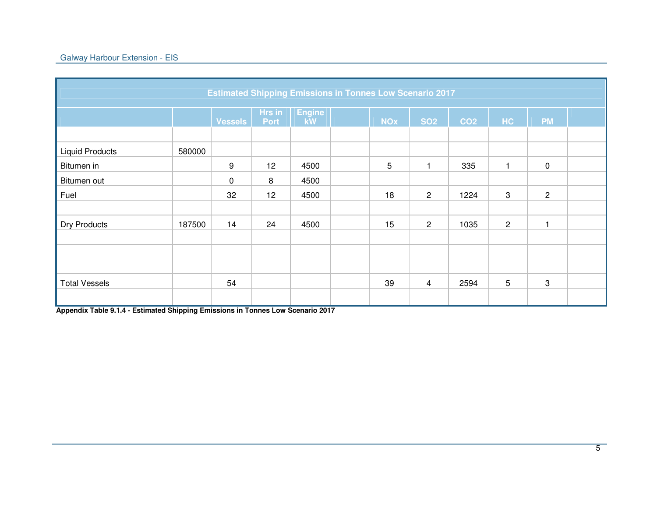|                        | <b>Estimated Shipping Emissions in Tonnes Low Scenario 2017</b> |                |                |                     |  |            |                |                 |                |                |  |  |  |
|------------------------|-----------------------------------------------------------------|----------------|----------------|---------------------|--|------------|----------------|-----------------|----------------|----------------|--|--|--|
|                        |                                                                 | <b>Vessels</b> | Hrs in<br>Port | <b>Engine</b><br>kW |  | <b>NOx</b> | <b>SO2</b>     | CO <sub>2</sub> | HC             | <b>PM</b>      |  |  |  |
|                        |                                                                 |                |                |                     |  |            |                |                 |                |                |  |  |  |
| <b>Liquid Products</b> | 580000                                                          |                |                |                     |  |            |                |                 |                |                |  |  |  |
| Bitumen in             |                                                                 | 9              | 12             | 4500                |  | 5          | $\mathbf{1}$   | 335             | $\mathbf{1}$   | $\mathbf 0$    |  |  |  |
| Bitumen out            |                                                                 | $\mathbf 0$    | 8              | 4500                |  |            |                |                 |                |                |  |  |  |
| Fuel                   |                                                                 | 32             | 12             | 4500                |  | 18         | $\overline{2}$ | 1224            | 3              | $\overline{2}$ |  |  |  |
|                        |                                                                 |                |                |                     |  |            |                |                 |                |                |  |  |  |
| <b>Dry Products</b>    | 187500                                                          | 14             | 24             | 4500                |  | 15         | $\overline{2}$ | 1035            | $\overline{c}$ | н              |  |  |  |
|                        |                                                                 |                |                |                     |  |            |                |                 |                |                |  |  |  |
|                        |                                                                 |                |                |                     |  |            |                |                 |                |                |  |  |  |
|                        |                                                                 |                |                |                     |  |            |                |                 |                |                |  |  |  |
| <b>Total Vessels</b>   |                                                                 | 54             |                |                     |  | 39         | $\overline{4}$ | 2594            | 5              | 3              |  |  |  |
|                        |                                                                 |                |                |                     |  |            |                |                 |                |                |  |  |  |

**Appendix Table 9.1.4 - Estimated Shipping Emissions in Tonnes Low Scenario 2017**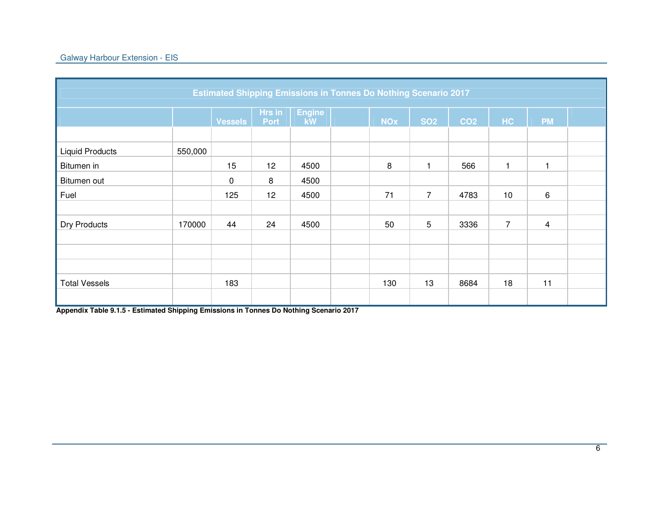|                        |         | <b>Estimated Shipping Emissions in Tonnes Do Nothing Scenario 2017</b> |                |                     |            |                 |                 |                |                |  |
|------------------------|---------|------------------------------------------------------------------------|----------------|---------------------|------------|-----------------|-----------------|----------------|----------------|--|
|                        |         | <b>Vessels</b>                                                         | Hrs in<br>Port | <b>Engine</b><br>kW | <b>NOx</b> | <b>SO2</b>      | CO <sub>2</sub> | HC             | <b>PM</b>      |  |
|                        |         |                                                                        |                |                     |            |                 |                 |                |                |  |
| <b>Liquid Products</b> | 550,000 |                                                                        |                |                     |            |                 |                 |                |                |  |
| Bitumen in             |         | 15                                                                     | 12             | 4500                | 8          | $\mathbf{1}$    | 566             | $\mathbf 1$    |                |  |
| Bitumen out            |         | 0                                                                      | 8              | 4500                |            |                 |                 |                |                |  |
| Fuel                   |         | 125                                                                    | 12             | 4500                | 71         | $\overline{7}$  | 4783            | 10             | 6              |  |
|                        |         |                                                                        |                |                     |            |                 |                 |                |                |  |
| <b>Dry Products</b>    | 170000  | 44                                                                     | 24             | 4500                | 50         | $5\phantom{.0}$ | 3336            | $\overline{7}$ | $\overline{4}$ |  |
|                        |         |                                                                        |                |                     |            |                 |                 |                |                |  |
|                        |         |                                                                        |                |                     |            |                 |                 |                |                |  |
|                        |         |                                                                        |                |                     |            |                 |                 |                |                |  |
| <b>Total Vessels</b>   |         | 183                                                                    |                |                     | 130        | 13              | 8684            | 18             | 11             |  |
|                        |         |                                                                        |                |                     |            |                 |                 |                |                |  |

**Appendix Table 9.1.5 - Estimated Shipping Emissions in Tonnes Do Nothing Scenario 2017**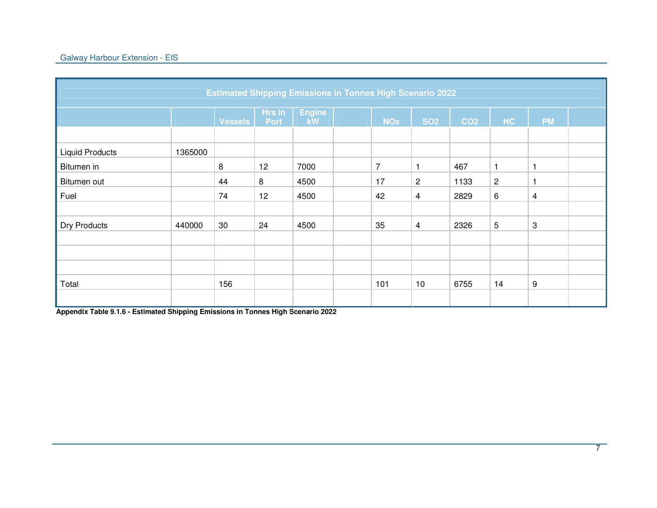|                        | <b>Estimated Shipping Emissions in Tonnes High Scenario 2022</b> |                |                       |                     |  |                |                |                 |                |           |  |  |  |
|------------------------|------------------------------------------------------------------|----------------|-----------------------|---------------------|--|----------------|----------------|-----------------|----------------|-----------|--|--|--|
|                        |                                                                  | <b>Vessels</b> | Hrs in<br><b>Port</b> | <b>Engine</b><br>kW |  | <b>NOx</b>     | <b>SO2</b>     | CO <sub>2</sub> | <b>HC</b>      | <b>PM</b> |  |  |  |
|                        |                                                                  |                |                       |                     |  |                |                |                 |                |           |  |  |  |
| <b>Liquid Products</b> | 1365000                                                          |                |                       |                     |  |                |                |                 |                |           |  |  |  |
| Bitumen in             |                                                                  | 8              | 12                    | 7000                |  | $\overline{7}$ |                | 467             | 1              |           |  |  |  |
| Bitumen out            |                                                                  | 44             | 8                     | 4500                |  | 17             | $\overline{c}$ | 1133            | $\overline{c}$ | 1         |  |  |  |
| Fuel                   |                                                                  | 74             | 12                    | 4500                |  | 42             | $\overline{4}$ | 2829            | 6              | 4         |  |  |  |
|                        |                                                                  |                |                       |                     |  |                |                |                 |                |           |  |  |  |
| <b>Dry Products</b>    | 440000                                                           | 30             | 24                    | 4500                |  | 35             | $\overline{4}$ | 2326            | 5              | 3         |  |  |  |
|                        |                                                                  |                |                       |                     |  |                |                |                 |                |           |  |  |  |
|                        |                                                                  |                |                       |                     |  |                |                |                 |                |           |  |  |  |
|                        |                                                                  |                |                       |                     |  |                |                |                 |                |           |  |  |  |
| Total                  |                                                                  | 156            |                       |                     |  | 101            | 10             | 6755            | 14             | 9         |  |  |  |
|                        |                                                                  |                |                       |                     |  |                |                |                 |                |           |  |  |  |

**Appendix Table 9.1.6 - Estimated Shipping Emissions in Tonnes High Scenario 2022**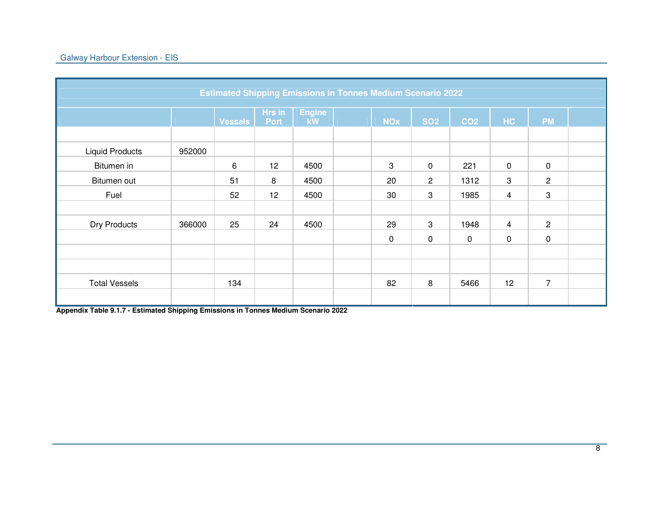|                        |        |                |                       | <b>Estimated Shipping Emissions in Tonnes Medium Scenario 2022</b> |            |                |                 |                |                |  |
|------------------------|--------|----------------|-----------------------|--------------------------------------------------------------------|------------|----------------|-----------------|----------------|----------------|--|
|                        |        | <b>Vessels</b> | Hrs in<br><b>Port</b> | <b>Engine</b><br>kW                                                | <b>NOx</b> | <b>SO2</b>     | CO <sub>2</sub> | HC             | <b>PM</b>      |  |
|                        |        |                |                       |                                                                    |            |                |                 |                |                |  |
| <b>Liquid Products</b> | 952000 |                |                       |                                                                    |            |                |                 |                |                |  |
| Bitumen in             |        | 6              | 12                    | 4500                                                               | 3          | $\mathbf 0$    | 221             | 0              | $\mathbf 0$    |  |
| Bitumen out            |        | 51             | 8                     | 4500                                                               | 20         | $\overline{2}$ | 1312            | 3              | $\overline{2}$ |  |
| Fuel                   |        | 52             | 12                    | 4500                                                               | 30         | 3              | 1985            | $\overline{4}$ | 3              |  |
|                        |        |                |                       |                                                                    |            |                |                 |                |                |  |
| Dry Products           | 366000 | 25             | 24                    | 4500                                                               | 29         | 3              | 1948            | $\overline{4}$ | $\overline{2}$ |  |
|                        |        |                |                       |                                                                    | $\pmb{0}$  | $\mathbf 0$    | $\mathbf 0$     | $\pmb{0}$      | $\mathbf 0$    |  |
|                        |        |                |                       |                                                                    |            |                |                 |                |                |  |
|                        |        |                |                       |                                                                    |            |                |                 |                |                |  |
| <b>Total Vessels</b>   |        | 134            |                       |                                                                    | 82         | 8              | 5466            | 12             | $\overline{7}$ |  |
|                        |        |                |                       |                                                                    |            |                |                 |                |                |  |

**Appendix Table 9.1.7 - Estimated Shipping Emissions in Tonnes Medium Scenario 2022**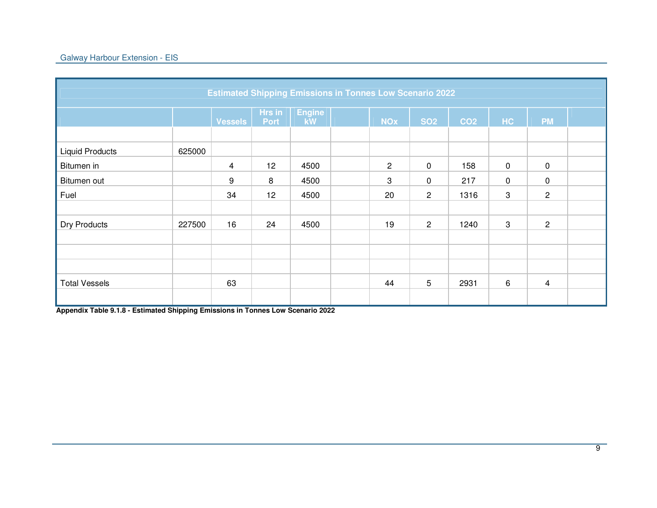|                                      |        | <b>Estimated Shipping Emissions in Tonnes Low Scenario 2022</b> |                |                     |                |                 |                 |             |                |  |
|--------------------------------------|--------|-----------------------------------------------------------------|----------------|---------------------|----------------|-----------------|-----------------|-------------|----------------|--|
|                                      |        | <b>Vessels</b>                                                  | Hrs in<br>Port | <b>Engine</b><br>kW | <b>NOx</b>     | <b>SO2</b>      | CO <sub>2</sub> | HC          | <b>PM</b>      |  |
|                                      |        |                                                                 |                |                     |                |                 |                 |             |                |  |
| <b>Liquid Products</b><br>Bitumen in | 625000 | 4                                                               | 12             | 4500                | $\overline{c}$ | $\mathbf 0$     | 158             | $\mathbf 0$ | $\pmb{0}$      |  |
| Bitumen out                          |        | 9                                                               | 8              | 4500                | 3              | $\mathbf 0$     | 217             | $\mathbf 0$ | $\mathbf 0$    |  |
| Fuel                                 |        | 34                                                              | 12             | 4500                | 20             | $\overline{2}$  | 1316            | 3           | $\overline{2}$ |  |
|                                      |        |                                                                 |                |                     |                |                 |                 |             |                |  |
| <b>Dry Products</b>                  | 227500 | 16                                                              | 24             | 4500                | 19             | $\overline{2}$  | 1240            | 3           | $\overline{c}$ |  |
|                                      |        |                                                                 |                |                     |                |                 |                 |             |                |  |
|                                      |        |                                                                 |                |                     |                |                 |                 |             |                |  |
|                                      |        |                                                                 |                |                     |                |                 |                 |             |                |  |
| <b>Total Vessels</b>                 |        | 63                                                              |                |                     | 44             | $5\phantom{.0}$ | 2931            | $\,6\,$     | $\overline{4}$ |  |
|                                      |        |                                                                 |                |                     |                |                 |                 |             |                |  |

**Appendix Table 9.1.8 - Estimated Shipping Emissions in Tonnes Low Scenario 2022**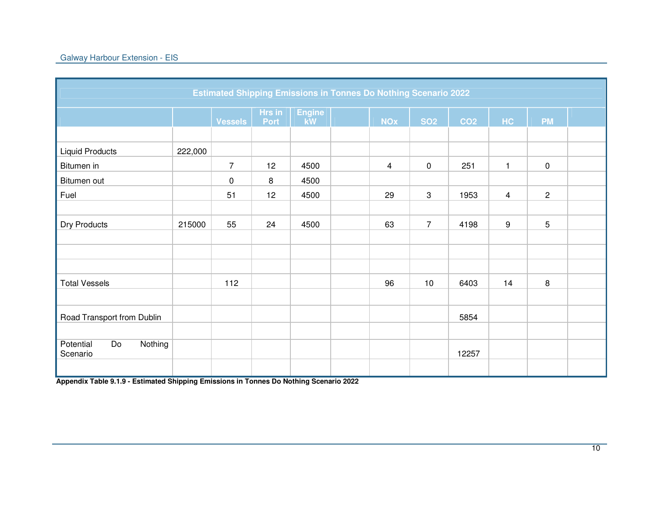|                                        |         | <b>Estimated Shipping Emissions in Tonnes Do Nothing Scenario 2022</b> |                       |                     |                |                |                 |              |                 |  |
|----------------------------------------|---------|------------------------------------------------------------------------|-----------------------|---------------------|----------------|----------------|-----------------|--------------|-----------------|--|
|                                        |         | <b>Vessels</b>                                                         | <b>Hrs</b> in<br>Port | <b>Engine</b><br>kW | <b>NOx</b>     | <b>SO2</b>     | CO <sub>2</sub> | HC           | <b>PM</b>       |  |
|                                        |         |                                                                        |                       |                     |                |                |                 |              |                 |  |
| <b>Liquid Products</b>                 | 222,000 |                                                                        |                       |                     |                |                |                 |              |                 |  |
| Bitumen in                             |         | $\overline{7}$                                                         | 12                    | 4500                | $\overline{4}$ | $\pmb{0}$      | 251             | $\mathbf{1}$ | $\mathsf 0$     |  |
| Bitumen out                            |         | $\mathbf 0$                                                            | 8                     | 4500                |                |                |                 |              |                 |  |
| Fuel                                   |         | 51                                                                     | 12                    | 4500                | 29             | 3              | 1953            | 4            | $\mathbf{2}$    |  |
|                                        |         |                                                                        |                       |                     |                |                |                 |              |                 |  |
| Dry Products                           | 215000  | 55                                                                     | 24                    | 4500                | 63             | $\overline{7}$ | 4198            | 9            | $5\phantom{.0}$ |  |
|                                        |         |                                                                        |                       |                     |                |                |                 |              |                 |  |
|                                        |         |                                                                        |                       |                     |                |                |                 |              |                 |  |
|                                        |         |                                                                        |                       |                     |                |                |                 |              |                 |  |
| <b>Total Vessels</b>                   |         | 112                                                                    |                       |                     | 96             | 10             | 6403            | 14           | 8               |  |
|                                        |         |                                                                        |                       |                     |                |                |                 |              |                 |  |
| Road Transport from Dublin             |         |                                                                        |                       |                     |                |                | 5854            |              |                 |  |
|                                        |         |                                                                        |                       |                     |                |                |                 |              |                 |  |
| Nothing<br>Potential<br>Do<br>Scenario |         |                                                                        |                       |                     |                |                | 12257           |              |                 |  |
|                                        |         |                                                                        |                       |                     |                |                |                 |              |                 |  |

**Appendix Table 9.1.9 - Estimated Shipping Emissions in Tonnes Do Nothing Scenario 2022**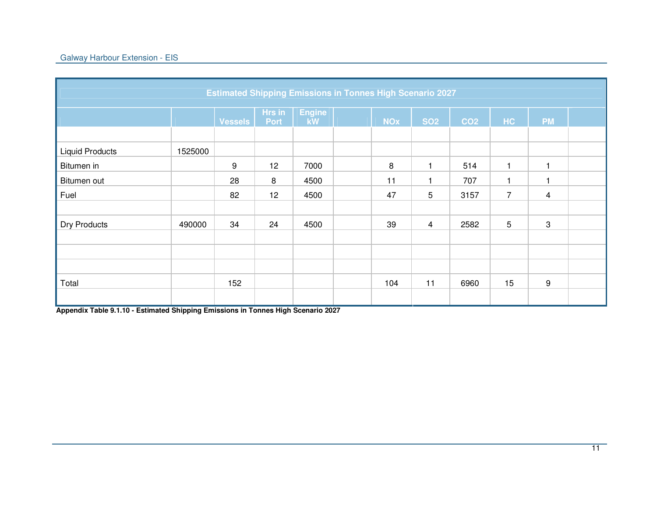|                        |         |                |                       | <b>Estimated Shipping Emissions in Tonnes High Scenario 2027</b> |            |                |                 |              |                |  |
|------------------------|---------|----------------|-----------------------|------------------------------------------------------------------|------------|----------------|-----------------|--------------|----------------|--|
|                        |         | <b>Vessels</b> | Hrs in<br><b>Port</b> | <b>Engine</b><br>kW                                              | <b>NOx</b> | <b>SO2</b>     | CO <sub>2</sub> | HC           | <b>PM</b>      |  |
|                        |         |                |                       |                                                                  |            |                |                 |              |                |  |
| <b>Liquid Products</b> | 1525000 |                |                       |                                                                  |            |                |                 |              |                |  |
| Bitumen in             |         | 9              | 12                    | 7000                                                             | 8          |                | 514             | 1            |                |  |
| Bitumen out            |         | 28             | 8                     | 4500                                                             | 11         |                | 707             | $\mathbf{1}$ |                |  |
| Fuel                   |         | 82             | 12                    | 4500                                                             | 47         | 5              | 3157            | 7            | $\overline{4}$ |  |
|                        |         |                |                       |                                                                  |            |                |                 |              |                |  |
| <b>Dry Products</b>    | 490000  | 34             | 24                    | 4500                                                             | 39         | $\overline{4}$ | 2582            | 5            | $\sqrt{3}$     |  |
|                        |         |                |                       |                                                                  |            |                |                 |              |                |  |
|                        |         |                |                       |                                                                  |            |                |                 |              |                |  |
|                        |         |                |                       |                                                                  |            |                |                 |              |                |  |
| Total                  |         | 152            |                       |                                                                  | 104        | 11             | 6960            | 15           | 9              |  |
|                        |         |                |                       |                                                                  |            |                |                 |              |                |  |

**Appendix Table 9.1.10 - Estimated Shipping Emissions in Tonnes High Scenario 2027**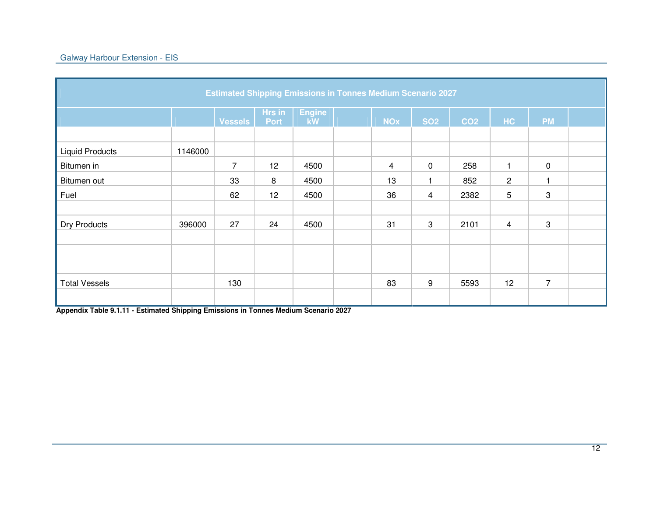|                        |         | <b>Estimated Shipping Emissions in Tonnes Medium Scenario 2027</b> |                       |                     |                |                |                 |                |                |  |
|------------------------|---------|--------------------------------------------------------------------|-----------------------|---------------------|----------------|----------------|-----------------|----------------|----------------|--|
|                        |         | <b>Vessels</b>                                                     | Hrs in<br><b>Port</b> | <b>Engine</b><br>kW | <b>NOx</b>     | <b>SO2</b>     | CO <sub>2</sub> | HC             | <b>PM</b>      |  |
| <b>Liquid Products</b> | 1146000 |                                                                    |                       |                     |                |                |                 |                |                |  |
| Bitumen in             |         | $\overline{7}$                                                     | 12                    | 4500                | $\overline{4}$ | $\overline{0}$ | 258             | 1              | $\mathbf 0$    |  |
| Bitumen out            |         | 33                                                                 | 8                     | 4500                | 13             |                | 852             | $\overline{c}$ | 1              |  |
| Fuel                   |         | 62                                                                 | 12                    | 4500                | 36             | 4              | 2382            | 5              | 3              |  |
|                        |         |                                                                    |                       |                     |                |                |                 |                |                |  |
| Dry Products           | 396000  | 27                                                                 | 24                    | 4500                | 31             | 3              | 2101            | 4              | 3              |  |
|                        |         |                                                                    |                       |                     |                |                |                 |                |                |  |
|                        |         |                                                                    |                       |                     |                |                |                 |                |                |  |
|                        |         |                                                                    |                       |                     |                |                |                 |                |                |  |
| <b>Total Vessels</b>   |         | 130                                                                |                       |                     | 83             | 9              | 5593            | 12             | $\overline{7}$ |  |
|                        |         |                                                                    |                       |                     |                |                |                 |                |                |  |

**Appendix Table 9.1.11 - Estimated Shipping Emissions in Tonnes Medium Scenario 2027**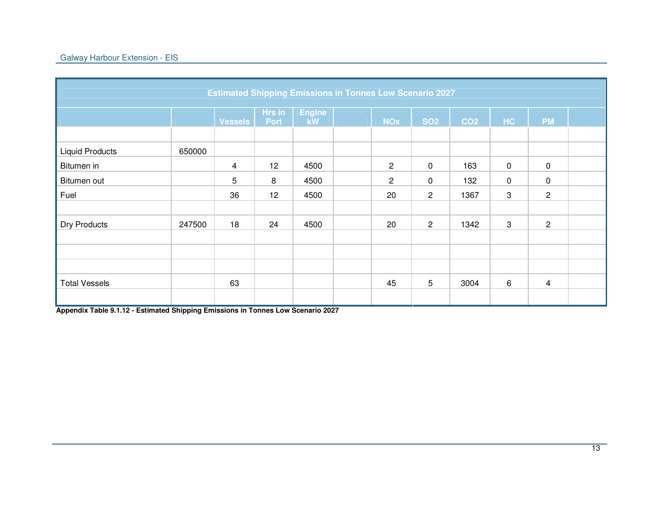|                        |        | <b>Estimated Shipping Emissions in Tonnes Low Scenario 2027</b> |             |               |                |                |                 |             |                |  |
|------------------------|--------|-----------------------------------------------------------------|-------------|---------------|----------------|----------------|-----------------|-------------|----------------|--|
|                        |        |                                                                 |             |               |                |                |                 |             |                |  |
|                        |        |                                                                 | Hrs in      | <b>Engine</b> |                |                |                 |             | <b>PM</b>      |  |
|                        |        | <b>Vessels</b>                                                  | <b>Port</b> | kW            | <b>NOx</b>     | <b>SO2</b>     | CO <sub>2</sub> | HC          |                |  |
|                        |        |                                                                 |             |               |                |                |                 |             |                |  |
| <b>Liquid Products</b> | 650000 |                                                                 |             |               |                |                |                 |             |                |  |
| Bitumen in             |        | 4                                                               | 12          | 4500          | $\overline{c}$ | $\mathbf 0$    | 163             | $\mathbf 0$ | $\mathbf 0$    |  |
| Bitumen out            |        | 5                                                               | 8           | 4500          | $\overline{2}$ | 0              | 132             | $\mathbf 0$ | $\mathbf 0$    |  |
| Fuel                   |        | 36                                                              | 12          | 4500          | 20             | $\overline{2}$ | 1367            | $\mathbf 3$ | $\overline{2}$ |  |
|                        |        |                                                                 |             |               |                |                |                 |             |                |  |
| <b>Dry Products</b>    | 247500 | 18                                                              | 24          | 4500          | 20             | $\overline{2}$ | 1342            | 3           | $\overline{c}$ |  |
|                        |        |                                                                 |             |               |                |                |                 |             |                |  |
|                        |        |                                                                 |             |               |                |                |                 |             |                |  |
|                        |        |                                                                 |             |               |                |                |                 |             |                |  |
| <b>Total Vessels</b>   |        | 63                                                              |             |               | 45             | 5              | 3004            | 6           | $\overline{4}$ |  |
|                        |        |                                                                 |             |               |                |                |                 |             |                |  |

**Appendix Table 9.1.12 - Estimated Shipping Emissions in Tonnes Low Scenario 2027**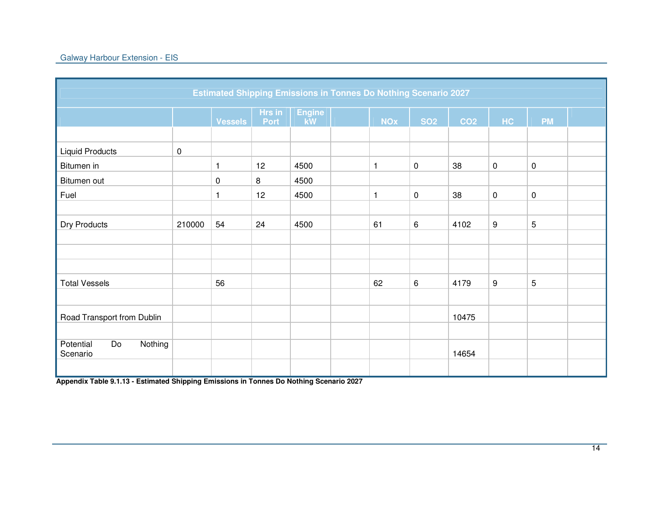| <b>Estimated Shipping Emissions in Tonnes Do Nothing Scenario 2027</b> |             |                |                |                            |  |              |                     |                 |           |           |  |
|------------------------------------------------------------------------|-------------|----------------|----------------|----------------------------|--|--------------|---------------------|-----------------|-----------|-----------|--|
|                                                                        |             | <b>Vessels</b> | Hrs in<br>Port | <b>Engine</b><br><b>kW</b> |  | <b>NOx</b>   | <b>SO2</b>          | CO <sub>2</sub> | <b>HC</b> | <b>PM</b> |  |
|                                                                        |             |                |                |                            |  |              |                     |                 |           |           |  |
| <b>Liquid Products</b>                                                 | $\mathsf 0$ |                |                |                            |  |              |                     |                 |           |           |  |
| Bitumen in                                                             |             | 1              | 12             | 4500                       |  | $\mathbf{1}$ | $\mathsf{O}\xspace$ | 38              | $\pmb{0}$ | 0         |  |
| Bitumen out                                                            |             | $\mathbf 0$    | 8              | 4500                       |  |              |                     |                 |           |           |  |
| Fuel                                                                   |             | 1              | 12             | 4500                       |  | $\mathbf{1}$ | $\mathsf{O}\xspace$ | 38              | $\pmb{0}$ | $\pmb{0}$ |  |
|                                                                        |             |                |                |                            |  |              |                     |                 |           |           |  |
| Dry Products                                                           | 210000      | 54             | 24             | 4500                       |  | 61           | 6                   | 4102            | 9         | 5         |  |
|                                                                        |             |                |                |                            |  |              |                     |                 |           |           |  |
|                                                                        |             |                |                |                            |  |              |                     |                 |           |           |  |
|                                                                        |             |                |                |                            |  |              |                     |                 |           |           |  |
| <b>Total Vessels</b>                                                   |             | 56             |                |                            |  | 62           | 6                   | 4179            | 9         | 5         |  |
|                                                                        |             |                |                |                            |  |              |                     |                 |           |           |  |
| Road Transport from Dublin                                             |             |                |                |                            |  |              |                     | 10475           |           |           |  |
|                                                                        |             |                |                |                            |  |              |                     |                 |           |           |  |
| Potential<br>Do<br>Nothing<br>Scenario                                 |             |                |                |                            |  |              |                     | 14654           |           |           |  |
|                                                                        |             |                |                |                            |  |              |                     |                 |           |           |  |

**Appendix Table 9.1.13 - Estimated Shipping Emissions in Tonnes Do Nothing Scenario 2027**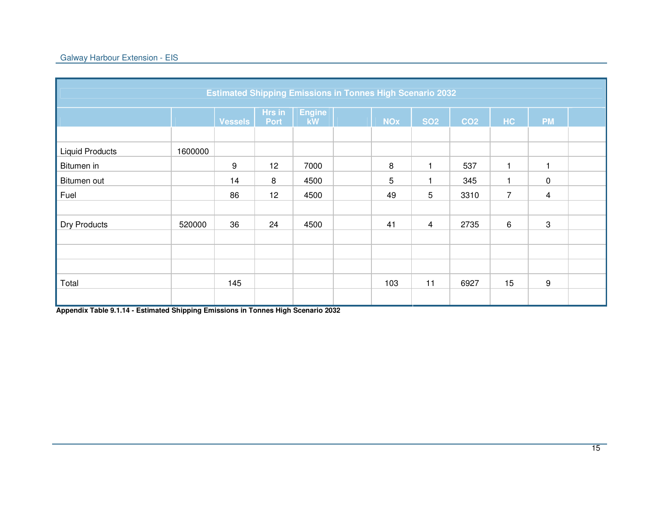|                        | <b>Estimated Shipping Emissions in Tonnes High Scenario 2032</b> |                |                       |                     |  |            |                |                 |              |                |  |  |
|------------------------|------------------------------------------------------------------|----------------|-----------------------|---------------------|--|------------|----------------|-----------------|--------------|----------------|--|--|
|                        |                                                                  |                |                       |                     |  |            |                |                 |              |                |  |  |
|                        |                                                                  | <b>Vessels</b> | Hrs in<br><b>Port</b> | <b>Engine</b><br>kW |  | <b>NOx</b> | <b>SO2</b>     | CO <sub>2</sub> | HC           | <b>PM</b>      |  |  |
|                        |                                                                  |                |                       |                     |  |            |                |                 |              |                |  |  |
| <b>Liquid Products</b> | 1600000                                                          |                |                       |                     |  |            |                |                 |              |                |  |  |
| Bitumen in             |                                                                  | 9              | 12                    | 7000                |  | 8          |                | 537             | 1            |                |  |  |
| Bitumen out            |                                                                  | 14             | 8                     | 4500                |  | 5          |                | 345             | $\mathbf{1}$ | $\mathbf 0$    |  |  |
| Fuel                   |                                                                  | 86             | 12                    | 4500                |  | 49         | 5              | 3310            | 7            | $\overline{4}$ |  |  |
|                        |                                                                  |                |                       |                     |  |            |                |                 |              |                |  |  |
| <b>Dry Products</b>    | 520000                                                           | 36             | 24                    | 4500                |  | 41         | $\overline{4}$ | 2735            | $\,6\,$      | 3              |  |  |
|                        |                                                                  |                |                       |                     |  |            |                |                 |              |                |  |  |
|                        |                                                                  |                |                       |                     |  |            |                |                 |              |                |  |  |
|                        |                                                                  |                |                       |                     |  |            |                |                 |              |                |  |  |
| Total                  |                                                                  | 145            |                       |                     |  | 103        | 11             | 6927            | 15           | 9              |  |  |
|                        |                                                                  |                |                       |                     |  |            |                |                 |              |                |  |  |

**Appendix Table 9.1.14 - Estimated Shipping Emissions in Tonnes High Scenario 2032**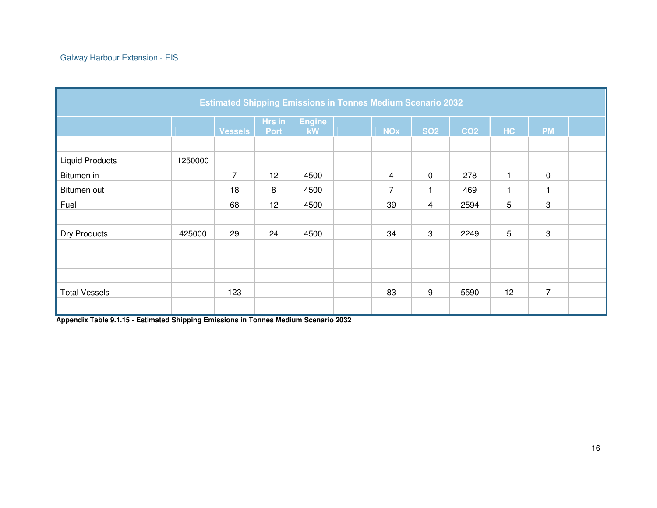| <b>Estimated Shipping Emissions in Tonnes Medium Scenario 2032</b> |         |                |                       |                     |  |                         |            |                 |    |                |  |  |
|--------------------------------------------------------------------|---------|----------------|-----------------------|---------------------|--|-------------------------|------------|-----------------|----|----------------|--|--|
|                                                                    |         | <b>Vessels</b> | Hrs in<br><b>Port</b> | <b>Engine</b><br>kW |  | <b>NOx</b>              | <b>SO2</b> | CO <sub>2</sub> | HC | <b>PM</b>      |  |  |
|                                                                    |         |                |                       |                     |  |                         |            |                 |    |                |  |  |
| <b>Liquid Products</b>                                             | 1250000 |                |                       |                     |  |                         |            |                 |    |                |  |  |
| Bitumen in                                                         |         | $\overline{7}$ | 12                    | 4500                |  | $\overline{\mathbf{4}}$ | 0          | 278             | 1  | $\mathbf 0$    |  |  |
| Bitumen out                                                        |         | 18             | 8                     | 4500                |  | $\overline{7}$          |            | 469             | 1  |                |  |  |
| Fuel                                                               |         | 68             | 12                    | 4500                |  | 39                      | 4          | 2594            | 5  | 3              |  |  |
|                                                                    |         |                |                       |                     |  |                         |            |                 |    |                |  |  |
| Dry Products                                                       | 425000  | 29             | 24                    | 4500                |  | 34                      | 3          | 2249            | 5  | 3              |  |  |
|                                                                    |         |                |                       |                     |  |                         |            |                 |    |                |  |  |
|                                                                    |         |                |                       |                     |  |                         |            |                 |    |                |  |  |
|                                                                    |         |                |                       |                     |  |                         |            |                 |    |                |  |  |
| <b>Total Vessels</b>                                               |         | 123            |                       |                     |  | 83                      | 9          | 5590            | 12 | $\overline{7}$ |  |  |
|                                                                    |         |                |                       |                     |  |                         |            |                 |    |                |  |  |

**Appendix Table 9.1.15 - Estimated Shipping Emissions in Tonnes Medium Scenario 2032**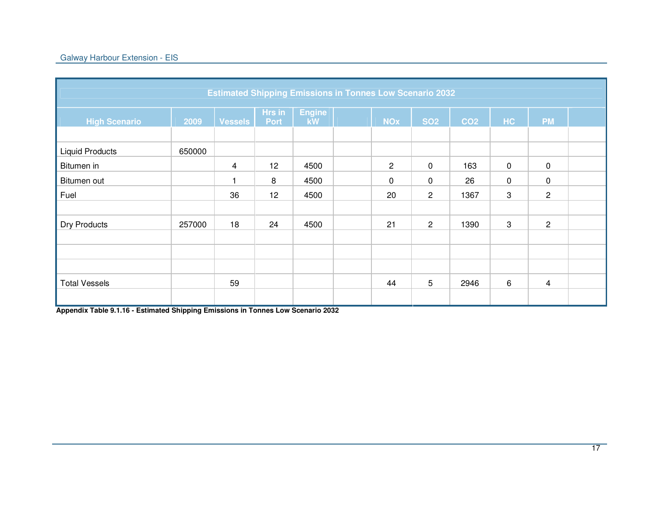## Galway Harbour Extension - EIS

| <b>Estimated Shipping Emissions in Tonnes Low Scenario 2032</b> |        |                |                       |                     |  |                |                |                 |             |                |  |
|-----------------------------------------------------------------|--------|----------------|-----------------------|---------------------|--|----------------|----------------|-----------------|-------------|----------------|--|
| <b>High Scenario</b>                                            | 2009   | <b>Vessels</b> | Hrs in<br><b>Port</b> | <b>Engine</b><br>kW |  | <b>NOx</b>     | <b>SO2</b>     | CO <sub>2</sub> | HC          | <b>PM</b>      |  |
| <b>Liquid Products</b>                                          | 650000 |                |                       |                     |  |                |                |                 |             |                |  |
| Bitumen in                                                      |        | 4              | 12                    | 4500                |  | $\overline{2}$ | $\mathbf 0$    | 163             | $\mathbf 0$ | $\pmb{0}$      |  |
| Bitumen out                                                     |        | 1              | 8                     | 4500                |  | $\mathbf 0$    | 0              | 26              | 0           | $\mathbf 0$    |  |
| Fuel                                                            |        | 36             | 12                    | 4500                |  | 20             | $\overline{2}$ | 1367            | 3           | $\overline{c}$ |  |
|                                                                 |        |                |                       |                     |  |                |                |                 |             |                |  |
| Dry Products                                                    | 257000 | 18             | 24                    | 4500                |  | 21             | $\mathbf{2}$   | 1390            | 3           | 2              |  |
|                                                                 |        |                |                       |                     |  |                |                |                 |             |                |  |
|                                                                 |        |                |                       |                     |  |                |                |                 |             |                |  |
|                                                                 |        |                |                       |                     |  |                |                |                 |             |                |  |
| <b>Total Vessels</b>                                            |        | 59             |                       |                     |  | 44             | 5              | 2946            | 6           | $\overline{4}$ |  |
|                                                                 |        |                |                       |                     |  |                |                |                 |             |                |  |

**Appendix Table 9.1.16 - Estimated Shipping Emissions in Tonnes Low Scenario 2032**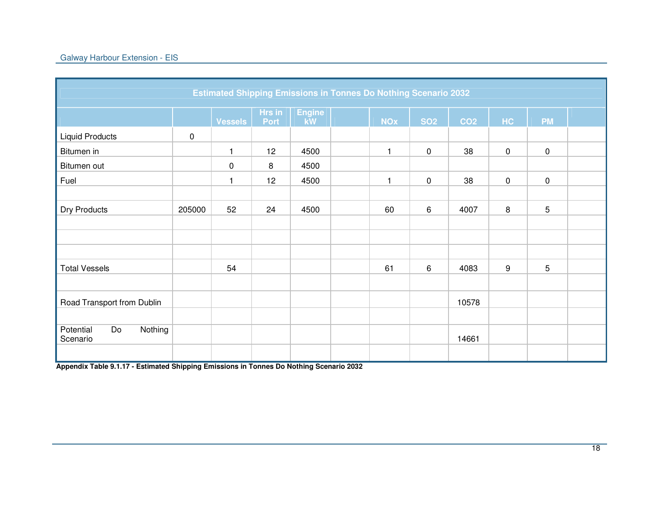| <b>Estimated Shipping Emissions in Tonnes Do Nothing Scenario 2032</b> |           |                |                |                     |  |              |             |                 |           |                 |  |
|------------------------------------------------------------------------|-----------|----------------|----------------|---------------------|--|--------------|-------------|-----------------|-----------|-----------------|--|
|                                                                        |           | <b>Vessels</b> | Hrs in<br>Port | <b>Engine</b><br>kW |  | <b>NOx</b>   | <b>SO2</b>  | CO <sub>2</sub> | HC        | <b>PM</b>       |  |
| <b>Liquid Products</b>                                                 | $\pmb{0}$ |                |                |                     |  |              |             |                 |           |                 |  |
| Bitumen in                                                             |           | $\mathbf{1}$   | 12             | 4500                |  | $\mathbf{1}$ | $\mathbf 0$ | 38              | $\pmb{0}$ | $\mathbf 0$     |  |
| Bitumen out                                                            |           | 0              | 8              | 4500                |  |              |             |                 |           |                 |  |
| Fuel                                                                   |           | 1              | 12             | 4500                |  | $\mathbf{1}$ | $\mathbf 0$ | 38              | 0         | $\mathsf 0$     |  |
|                                                                        |           |                |                |                     |  |              |             |                 |           |                 |  |
| Dry Products                                                           | 205000    | 52             | 24             | 4500                |  | 60           | 6           | 4007            | 8         | $5\phantom{.0}$ |  |
|                                                                        |           |                |                |                     |  |              |             |                 |           |                 |  |
|                                                                        |           |                |                |                     |  |              |             |                 |           |                 |  |
|                                                                        |           |                |                |                     |  |              |             |                 |           |                 |  |
| <b>Total Vessels</b>                                                   |           | 54             |                |                     |  | 61           | 6           | 4083            | 9         | $5\phantom{.0}$ |  |
|                                                                        |           |                |                |                     |  |              |             |                 |           |                 |  |
| Road Transport from Dublin                                             |           |                |                |                     |  |              |             | 10578           |           |                 |  |
|                                                                        |           |                |                |                     |  |              |             |                 |           |                 |  |
| Potential<br>Do<br>Nothing<br>Scenario                                 |           |                |                |                     |  |              |             | 14661           |           |                 |  |
|                                                                        |           |                |                |                     |  |              |             |                 |           |                 |  |

**Appendix Table 9.1.17 - Estimated Shipping Emissions in Tonnes Do Nothing Scenario 2032**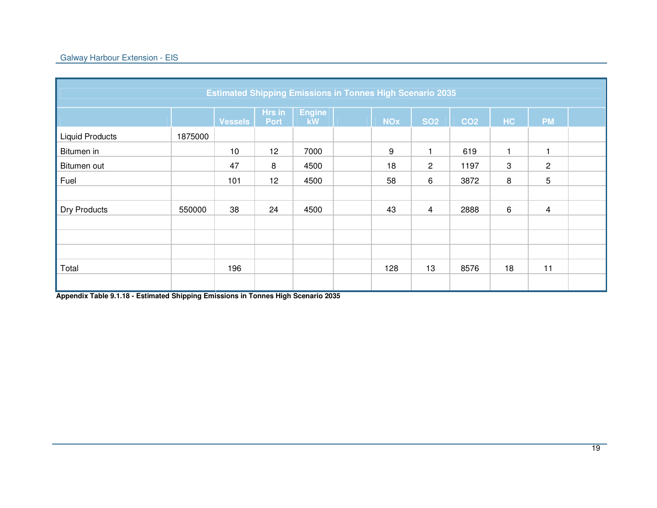| <b>Estimated Shipping Emissions in Tonnes High Scenario 2035</b> |         |                |                       |                     |  |            |                |                 |              |                |  |  |
|------------------------------------------------------------------|---------|----------------|-----------------------|---------------------|--|------------|----------------|-----------------|--------------|----------------|--|--|
|                                                                  |         | <b>Vessels</b> | Hrs in<br><b>Port</b> | <b>Engine</b><br>kW |  | <b>NOx</b> | <b>SO2</b>     | CO <sub>2</sub> | HC           | <b>PM</b>      |  |  |
| <b>Liquid Products</b>                                           | 1875000 |                |                       |                     |  |            |                |                 |              |                |  |  |
| Bitumen in                                                       |         | 10             | 12                    | 7000                |  | 9          |                | 619             | $\mathbf{1}$ |                |  |  |
| Bitumen out                                                      |         | 47             | 8                     | 4500                |  | 18         | $\overline{2}$ | 1197            | 3            | $\overline{2}$ |  |  |
| Fuel                                                             |         | 101            | 12                    | 4500                |  | 58         | 6              | 3872            | 8            | 5              |  |  |
|                                                                  |         |                |                       |                     |  |            |                |                 |              |                |  |  |
| <b>Dry Products</b>                                              | 550000  | 38             | 24                    | 4500                |  | 43         | 4              | 2888            | $\,6\,$      | $\overline{4}$ |  |  |
|                                                                  |         |                |                       |                     |  |            |                |                 |              |                |  |  |
|                                                                  |         |                |                       |                     |  |            |                |                 |              |                |  |  |
|                                                                  |         |                |                       |                     |  |            |                |                 |              |                |  |  |
| Total                                                            |         | 196            |                       |                     |  | 128        | 13             | 8576            | 18           | 11             |  |  |
|                                                                  |         |                |                       |                     |  |            |                |                 |              |                |  |  |

**Appendix Table 9.1.18 - Estimated Shipping Emissions in Tonnes High Scenario 2035**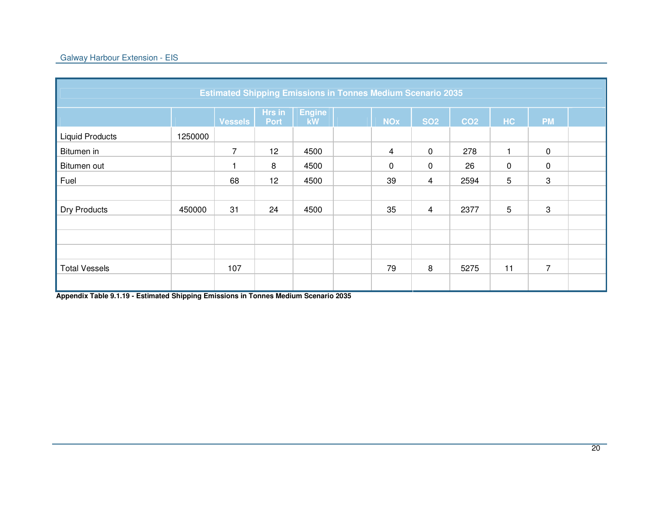| <b>Estimated Shipping Emissions in Tonnes Medium Scenario 2035</b> |         |                |                       |                     |  |                |             |                 |           |                |  |
|--------------------------------------------------------------------|---------|----------------|-----------------------|---------------------|--|----------------|-------------|-----------------|-----------|----------------|--|
|                                                                    |         | <b>Vessels</b> | Hrs in<br><b>Port</b> | <b>Engine</b><br>kW |  | <b>NOx</b>     | <b>SO2</b>  | CO <sub>2</sub> | HC        | <b>PM</b>      |  |
| <b>Liquid Products</b>                                             | 1250000 |                |                       |                     |  |                |             |                 |           |                |  |
| Bitumen in                                                         |         | $\overline{7}$ | 12 <sup>°</sup>       | 4500                |  | $\overline{4}$ | $\mathbf 0$ | 278             | 1         | $\mathbf 0$    |  |
| Bitumen out                                                        |         |                | 8                     | 4500                |  | $\pmb{0}$      | $\mathbf 0$ | 26              | $\pmb{0}$ | $\mathbf 0$    |  |
| Fuel                                                               |         | 68             | 12                    | 4500                |  | 39             | 4           | 2594            | 5         | 3              |  |
|                                                                    |         |                |                       |                     |  |                |             |                 |           |                |  |
| <b>Dry Products</b>                                                | 450000  | 31             | 24                    | 4500                |  | 35             | 4           | 2377            | 5         | 3              |  |
|                                                                    |         |                |                       |                     |  |                |             |                 |           |                |  |
|                                                                    |         |                |                       |                     |  |                |             |                 |           |                |  |
|                                                                    |         |                |                       |                     |  |                |             |                 |           |                |  |
| <b>Total Vessels</b>                                               |         | 107            |                       |                     |  | 79             | 8           | 5275            | 11        | $\overline{7}$ |  |
|                                                                    |         |                |                       |                     |  |                |             |                 |           |                |  |

**Appendix Table 9.1.19 - Estimated Shipping Emissions in Tonnes Medium Scenario 2035**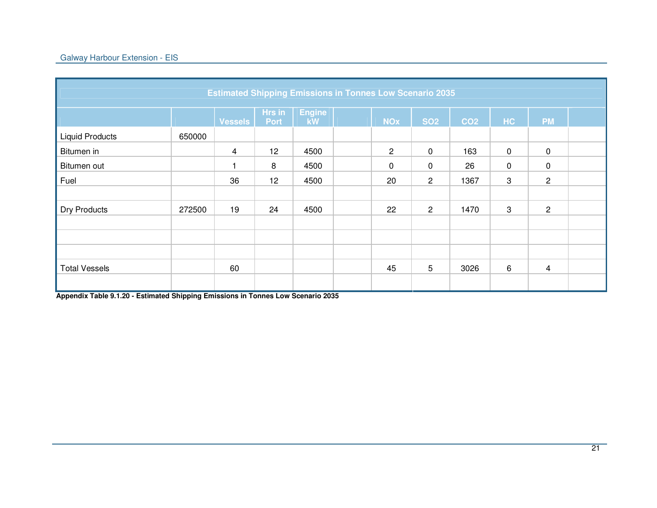| <b>Estimated Shipping Emissions in Tonnes Low Scenario 2035</b> |        |                |                       |                     |  |                |                |                 |             |                |  |  |
|-----------------------------------------------------------------|--------|----------------|-----------------------|---------------------|--|----------------|----------------|-----------------|-------------|----------------|--|--|
|                                                                 |        | <b>Vessels</b> | Hrs in<br><b>Port</b> | <b>Engine</b><br>kW |  | <b>NOx</b>     | <b>SO2</b>     | CO <sub>2</sub> | HC          | <b>PM</b>      |  |  |
| <b>Liquid Products</b>                                          | 650000 |                |                       |                     |  |                |                |                 |             |                |  |  |
| Bitumen in                                                      |        | $\overline{4}$ | 12                    | 4500                |  | $\overline{2}$ | $\mathbf 0$    | 163             | $\mathbf 0$ | $\mathbf 0$    |  |  |
| Bitumen out                                                     |        | 1              | 8                     | 4500                |  | $\pmb{0}$      | $\mathbf 0$    | 26              | $\pmb{0}$   | $\mathbf 0$    |  |  |
| Fuel                                                            |        | 36             | 12                    | 4500                |  | 20             | $\overline{2}$ | 1367            | 3           | $\mathbf{2}$   |  |  |
|                                                                 |        |                |                       |                     |  |                |                |                 |             |                |  |  |
| <b>Dry Products</b>                                             | 272500 | 19             | 24                    | 4500                |  | 22             | $\overline{2}$ | 1470            | 3           | $\overline{c}$ |  |  |
|                                                                 |        |                |                       |                     |  |                |                |                 |             |                |  |  |
|                                                                 |        |                |                       |                     |  |                |                |                 |             |                |  |  |
|                                                                 |        |                |                       |                     |  |                |                |                 |             |                |  |  |
| <b>Total Vessels</b>                                            |        | 60             |                       |                     |  | 45             | 5              | 3026            | 6           | $\overline{4}$ |  |  |
|                                                                 |        |                |                       |                     |  |                |                |                 |             |                |  |  |

**Appendix Table 9.1.20 - Estimated Shipping Emissions in Tonnes Low Scenario 2035**